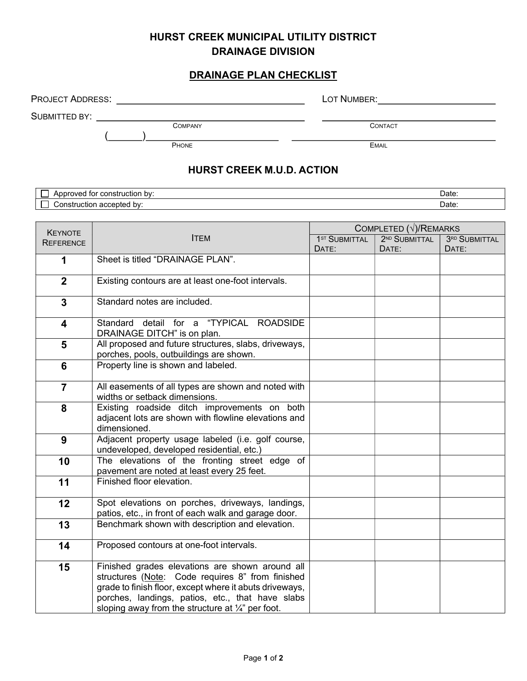## HURST CREEK MUNICIPAL UTILITY DISTRICT DRAINAGE DIVISION

## DRAINAGE PLAN CHECKLIST

| <b>PROJECT ADDRESS:</b>                  |  | LOT NUMBER:                    |  |  |  |  |  |  |
|------------------------------------------|--|--------------------------------|--|--|--|--|--|--|
| SUBMITTED BY:<br><b>COMPANY</b><br>PHONE |  | <b>CONTACT</b><br><b>EMAIL</b> |  |  |  |  |  |  |
| <b>HURST CREEK M.U.D. ACTION</b>         |  |                                |  |  |  |  |  |  |
| Approved for construction by:            |  | Date:                          |  |  |  |  |  |  |
| Construction accepted by:                |  | Date:                          |  |  |  |  |  |  |
|                                          |  | COMPLETED $(\sqrt{N})$ REMARKS |  |  |  |  |  |  |

| <b>KEYNOTE</b>          | <b>ITEM</b>                                                                                                                                                                                                                                                                        | COMPLETED $(\sqrt{})/$ REMARKS |                           |               |  |
|-------------------------|------------------------------------------------------------------------------------------------------------------------------------------------------------------------------------------------------------------------------------------------------------------------------------|--------------------------------|---------------------------|---------------|--|
| <b>REFERENCE</b>        |                                                                                                                                                                                                                                                                                    | 1 <sup>ST</sup> SUBMITTAL      | 2 <sup>ND</sup> SUBMITTAL | 3RD SUBMITTAL |  |
|                         |                                                                                                                                                                                                                                                                                    | DATE:                          | DATE:                     | DATE:         |  |
| 1                       | Sheet is titled "DRAINAGE PLAN".                                                                                                                                                                                                                                                   |                                |                           |               |  |
| $\overline{2}$          | Existing contours are at least one-foot intervals.                                                                                                                                                                                                                                 |                                |                           |               |  |
| $\mathbf{3}$            | Standard notes are included.                                                                                                                                                                                                                                                       |                                |                           |               |  |
| $\overline{\mathbf{4}}$ | Standard detail for a "TYPICAL ROADSIDE<br>DRAINAGE DITCH" is on plan.                                                                                                                                                                                                             |                                |                           |               |  |
| $5\phantom{1}$          | All proposed and future structures, slabs, driveways,<br>porches, pools, outbuildings are shown.                                                                                                                                                                                   |                                |                           |               |  |
| 6                       | Property line is shown and labeled.                                                                                                                                                                                                                                                |                                |                           |               |  |
| $\overline{7}$          | All easements of all types are shown and noted with<br>widths or setback dimensions.                                                                                                                                                                                               |                                |                           |               |  |
| 8                       | Existing roadside ditch improvements on both<br>adjacent lots are shown with flowline elevations and<br>dimensioned.                                                                                                                                                               |                                |                           |               |  |
| 9                       | Adjacent property usage labeled (i.e. golf course,<br>undeveloped, developed residential, etc.)                                                                                                                                                                                    |                                |                           |               |  |
| 10                      | The elevations of the fronting street edge of<br>pavement are noted at least every 25 feet.                                                                                                                                                                                        |                                |                           |               |  |
| 11                      | Finished floor elevation.                                                                                                                                                                                                                                                          |                                |                           |               |  |
| 12                      | Spot elevations on porches, driveways, landings,<br>patios, etc., in front of each walk and garage door.                                                                                                                                                                           |                                |                           |               |  |
| 13                      | Benchmark shown with description and elevation.                                                                                                                                                                                                                                    |                                |                           |               |  |
| 14                      | Proposed contours at one-foot intervals.                                                                                                                                                                                                                                           |                                |                           |               |  |
| 15                      | Finished grades elevations are shown around all<br>structures (Note: Code requires 8" from finished<br>grade to finish floor, except where it abuts driveways,<br>porches, landings, patios, etc., that have slabs<br>sloping away from the structure at $\frac{1}{4}$ " per foot. |                                |                           |               |  |